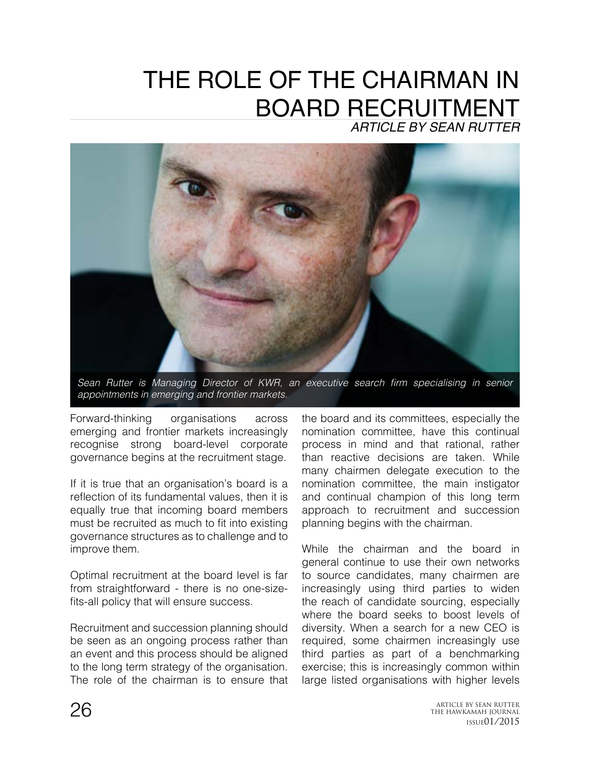## THE ROLE OF THE CHAIRMAN IN BOARD RECRUITMENT *ARTICLE BY SEAN RUTTER*



Sean Rutter is Managing Director of KWR, an executive search firm specialising in senior *appointments in emerging and frontier markets.*

Forward-thinking organisations across emerging and frontier markets increasingly recognise strong board-level corporate governance begins at the recruitment stage.

If it is true that an organisation's board is a reflection of its fundamental values, then it is equally true that incoming board members must be recruited as much to fit into existing governance structures as to challenge and to improve them.

Optimal recruitment at the board level is far from straightforward - there is no one-sizefits-all policy that will ensure success.

Recruitment and succession planning should be seen as an ongoing process rather than an event and this process should be aligned to the long term strategy of the organisation. The role of the chairman is to ensure that

the board and its committees, especially the nomination committee, have this continual process in mind and that rational, rather than reactive decisions are taken. While many chairmen delegate execution to the nomination committee, the main instigator and continual champion of this long term approach to recruitment and succession planning begins with the chairman.

While the chairman and the board in general continue to use their own networks to source candidates, many chairmen are increasingly using third parties to widen the reach of candidate sourcing, especially where the board seeks to boost levels of diversity. When a search for a new CEO is required, some chairmen increasingly use third parties as part of a benchmarking exercise; this is increasingly common within large listed organisations with higher levels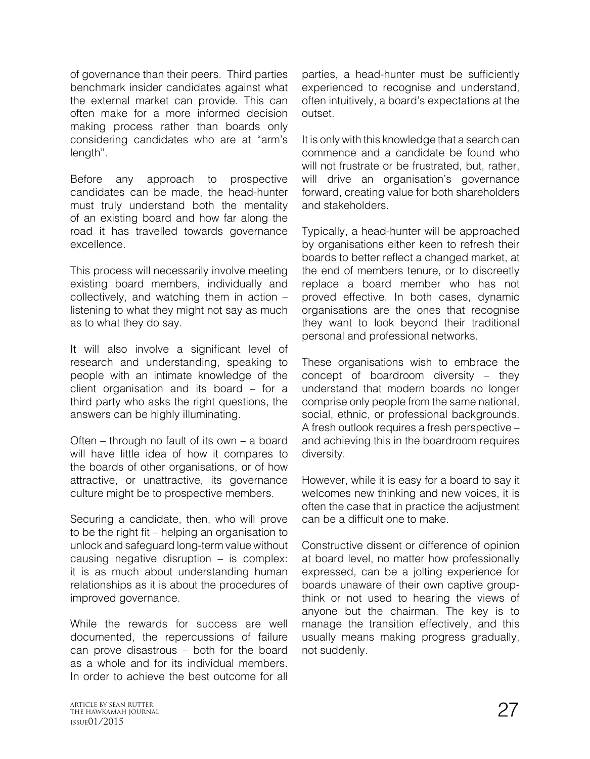of governance than their peers. Third parties benchmark insider candidates against what the external market can provide. This can often make for a more informed decision making process rather than boards only considering candidates who are at "arm's length".

Before any approach to prospective candidates can be made, the head-hunter must truly understand both the mentality of an existing board and how far along the road it has travelled towards governance excellence.

This process will necessarily involve meeting existing board members, individually and collectively, and watching them in action – listening to what they might not say as much as to what they do say.

It will also involve a significant level of research and understanding, speaking to people with an intimate knowledge of the client organisation and its board – for a third party who asks the right questions, the answers can be highly illuminating.

Often – through no fault of its own – a board will have little idea of how it compares to the boards of other organisations, or of how attractive, or unattractive, its governance culture might be to prospective members.

Securing a candidate, then, who will prove to be the right fit – helping an organisation to unlock and safeguard long-term value without causing negative disruption – is complex: it is as much about understanding human relationships as it is about the procedures of improved governance.

While the rewards for success are well documented, the repercussions of failure can prove disastrous – both for the board as a whole and for its individual members. In order to achieve the best outcome for all parties, a head-hunter must be sufficiently experienced to recognise and understand, often intuitively, a board's expectations at the outset.

It is only with this knowledge that a search can commence and a candidate be found who will not frustrate or be frustrated, but, rather, will drive an organisation's governance forward, creating value for both shareholders and stakeholders.

Typically, a head-hunter will be approached by organisations either keen to refresh their boards to better reflect a changed market, at the end of members tenure, or to discreetly replace a board member who has not proved effective. In both cases, dynamic organisations are the ones that recognise they want to look beyond their traditional personal and professional networks.

These organisations wish to embrace the concept of boardroom diversity – they understand that modern boards no longer comprise only people from the same national, social, ethnic, or professional backgrounds. A fresh outlook requires a fresh perspective – and achieving this in the boardroom requires diversity.

However, while it is easy for a board to say it welcomes new thinking and new voices, it is often the case that in practice the adjustment can be a difficult one to make.

Constructive dissent or difference of opinion at board level, no matter how professionally expressed, can be a jolting experience for boards unaware of their own captive groupthink or not used to hearing the views of anyone but the chairman. The key is to manage the transition effectively, and this usually means making progress gradually, not suddenly.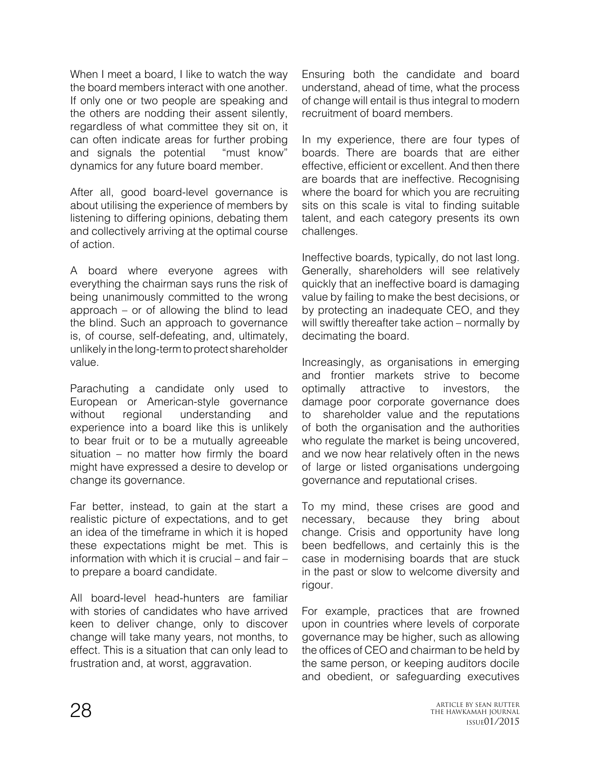When I meet a board, I like to watch the way the board members interact with one another. If only one or two people are speaking and the others are nodding their assent silently, regardless of what committee they sit on, it can often indicate areas for further probing and signals the potential "must know" dynamics for any future board member.

After all, good board-level governance is about utilising the experience of members by listening to differing opinions, debating them and collectively arriving at the optimal course of action.

A board where everyone agrees with everything the chairman says runs the risk of being unanimously committed to the wrong approach – or of allowing the blind to lead the blind. Such an approach to governance is, of course, self-defeating, and, ultimately, unlikely in the long-term to protect shareholder value.

Parachuting a candidate only used to European or American-style governance without regional understanding and experience into a board like this is unlikely to bear fruit or to be a mutually agreeable situation – no matter how firmly the board might have expressed a desire to develop or change its governance.

Far better, instead, to gain at the start a realistic picture of expectations, and to get an idea of the timeframe in which it is hoped these expectations might be met. This is information with which it is crucial – and fair – to prepare a board candidate.

All board-level head-hunters are familiar with stories of candidates who have arrived keen to deliver change, only to discover change will take many years, not months, to effect. This is a situation that can only lead to frustration and, at worst, aggravation.

Ensuring both the candidate and board understand, ahead of time, what the process of change will entail is thus integral to modern recruitment of board members.

In my experience, there are four types of boards. There are boards that are either effective, efficient or excellent. And then there are boards that are ineffective. Recognising where the board for which you are recruiting sits on this scale is vital to finding suitable talent, and each category presents its own challenges.

Ineffective boards, typically, do not last long. Generally, shareholders will see relatively quickly that an ineffective board is damaging value by failing to make the best decisions, or by protecting an inadequate CEO, and they will swiftly thereafter take action – normally by decimating the board.

Increasingly, as organisations in emerging and frontier markets strive to become optimally attractive to investors, the damage poor corporate governance does to shareholder value and the reputations of both the organisation and the authorities who regulate the market is being uncovered, and we now hear relatively often in the news of large or listed organisations undergoing governance and reputational crises.

To my mind, these crises are good and necessary, because they bring about change. Crisis and opportunity have long been bedfellows, and certainly this is the case in modernising boards that are stuck in the past or slow to welcome diversity and rigour.

For example, practices that are frowned upon in countries where levels of corporate governance may be higher, such as allowing the offices of CEO and chairman to be held by the same person, or keeping auditors docile and obedient, or safeguarding executives